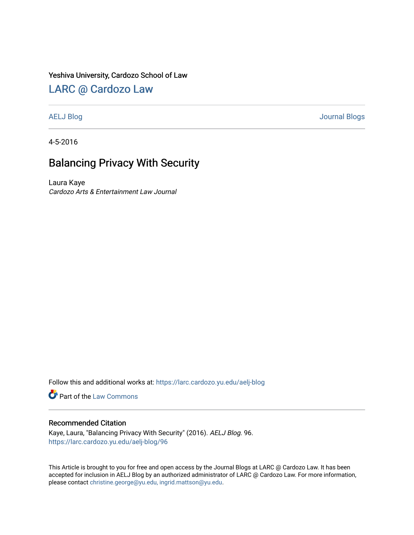### Yeshiva University, Cardozo School of Law

## [LARC @ Cardozo Law](https://larc.cardozo.yu.edu/)

[AELJ Blog](https://larc.cardozo.yu.edu/aelj-blog) [Journal Blogs](https://larc.cardozo.yu.edu/journal-blogs) 

4-5-2016

# Balancing Privacy With Security

Laura Kaye Cardozo Arts & Entertainment Law Journal

Follow this and additional works at: [https://larc.cardozo.yu.edu/aelj-blog](https://larc.cardozo.yu.edu/aelj-blog?utm_source=larc.cardozo.yu.edu%2Faelj-blog%2F96&utm_medium=PDF&utm_campaign=PDFCoverPages) 

Part of the [Law Commons](http://network.bepress.com/hgg/discipline/578?utm_source=larc.cardozo.yu.edu%2Faelj-blog%2F96&utm_medium=PDF&utm_campaign=PDFCoverPages)

#### Recommended Citation

Kaye, Laura, "Balancing Privacy With Security" (2016). AELJ Blog. 96. [https://larc.cardozo.yu.edu/aelj-blog/96](https://larc.cardozo.yu.edu/aelj-blog/96?utm_source=larc.cardozo.yu.edu%2Faelj-blog%2F96&utm_medium=PDF&utm_campaign=PDFCoverPages)

This Article is brought to you for free and open access by the Journal Blogs at LARC @ Cardozo Law. It has been accepted for inclusion in AELJ Blog by an authorized administrator of LARC @ Cardozo Law. For more information, please contact [christine.george@yu.edu, ingrid.mattson@yu.edu.](mailto:christine.george@yu.edu,%20ingrid.mattson@yu.edu)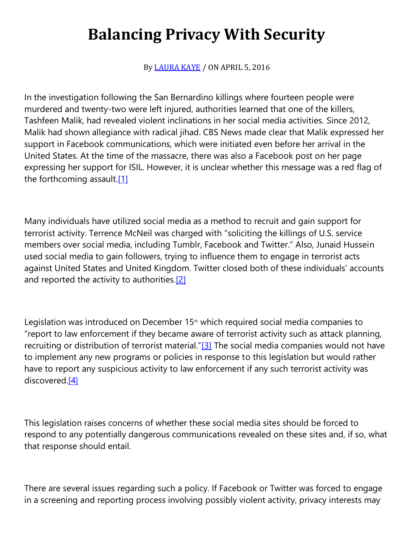# **Balancing Privacy With Security**

By [LAURA KAYE](https://cardozoaelj.com/author/laura-kaye/) / ON APRIL 5, 2016

In the investigation following the San Bernardino killings where fourteen people were murdered and twenty-two were left injured, authorities learned that one of the killers, Tashfeen Malik, had revealed violent inclinations in her social media activities. Since 2012, Malik had shown allegiance with radical jihad. CBS News made clear that Malik expressed her support in Facebook communications, which were initiated even before her arrival in the United States. At the time of the massacre, there was also a Facebook post on her page expressing her support for ISIL. However, it is unclear whether this message was a red flag of the forthcoming assault[.\[1\]](https://cardozoaelj.com/2016/04/05/balancing-privacy-with-security/#_ftn1)

Many individuals have utilized social media as a method to recruit and gain support for terrorist activity. Terrence McNeil was charged with "soliciting the killings of U.S. service members over social media, including Tumblr, Facebook and Twitter." Also, Junaid Hussein used social media to gain followers, trying to influence them to engage in terrorist acts against United States and United Kingdom. Twitter closed both of these individuals' accounts and reported the activity to authorities[.\[2\]](https://cardozoaelj.com/2016/04/05/balancing-privacy-with-security/#_ftn2)

Legislation was introduced on December  $15<sup>th</sup>$  which required social media companies to "report to law enforcement if they became aware of terrorist activity such as attack planning, recruiting or distribution of terrorist material."[\[3\]](https://cardozoaelj.com/2016/04/05/balancing-privacy-with-security/#_ftn3) The social media companies would not have to implement any new programs or policies in response to this legislation but would rather have to report any suspicious activity to law enforcement if any such terrorist activity was discovered[.\[4\]](https://cardozoaelj.com/2016/04/05/balancing-privacy-with-security/#_ftn4)

This legislation raises concerns of whether these social media sites should be forced to respond to any potentially dangerous communications revealed on these sites and, if so, what that response should entail.

There are several issues regarding such a policy. If Facebook or Twitter was forced to engage in a screening and reporting process involving possibly violent activity, privacy interests may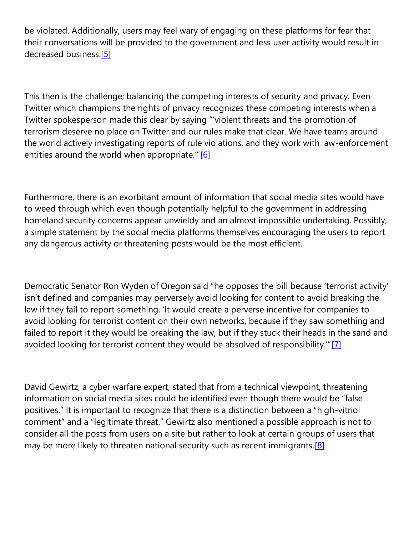be violated. Additionally, users may feel wary of engaging on these platforms for fear that their conversations will be provided to the government and less user activity would result in decreased business[.\[5\]](https://cardozoaelj.com/2016/04/05/balancing-privacy-with-security/#_ftn5)

This then is the challenge; balancing the competing interests of security and privacy. Even Twitter which champions the rights of privacy recognizes these competing interests when a Twitter spokesperson made this clear by saying "'violent threats and the promotion of terrorism deserve no place on Twitter and our rules make that clear. We have teams around the world actively investigating reports of rule violations, and they work with law-enforcement entities around the world when appropriate."<sup>[\[6\]](https://cardozoaelj.com/2016/04/05/balancing-privacy-with-security/#_ftn6)</sup>

Furthermore, there is an exorbitant amount of information that social media sites would have to weed through which even though potentially helpful to the government in addressing homeland security concerns appear unwieldy and an almost impossible undertaking. Possibly, a simple statement by the social media platforms themselves encouraging the users to report any dangerous activity or threatening posts would be the most efficient.

Democratic Senator Ron Wyden of Oregon said "he opposes the bill because 'terrorist activity' isn't defined and companies may perversely avoid looking for content to avoid breaking the law if they fail to report something. 'It would create a perverse incentive for companies to avoid looking for terrorist content on their own networks, because if they saw something and failed to report it they would be breaking the law, but if they stuck their heads in the sand and avoided looking for terrorist content they would be absolved of responsibility.'"[\[7\]](https://cardozoaelj.com/2016/04/05/balancing-privacy-with-security/#_ftn7)

David Gewirtz, a cyber warfare expert, stated that from a technical viewpoint, threatening information on social media sites could be identified even though there would be "false positives." It is important to recognize that there is a distinction between a "high-vitriol comment" and a "legitimate threat." Gewirtz also mentioned a possible approach is not to consider all the posts from users on a site but rather to look at certain groups of users that may be more likely to threaten national security such as recent immigrants.<sup>[8]</sup>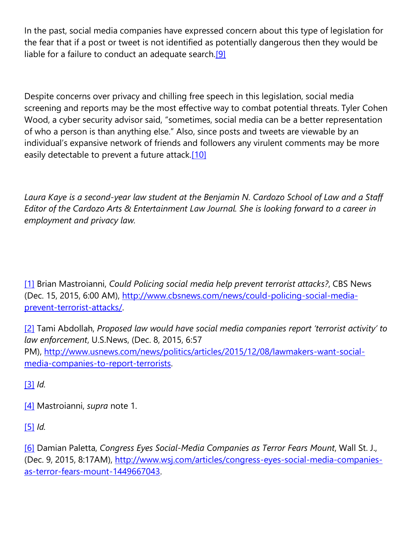In the past, social media companies have expressed concern about this type of legislation for the fear that if a post or tweet is not identified as potentially dangerous then they would be liable for a failure to conduct an adequate search.<sup>[9]</sup>

Despite concerns over privacy and chilling free speech in this legislation, social media screening and reports may be the most effective way to combat potential threats. Tyler Cohen Wood, a cyber security advisor said, "sometimes, social media can be a better representation of who a person is than anything else." Also, since posts and tweets are viewable by an individual's expansive network of friends and followers any virulent comments may be more easily detectable to prevent a future attack[.\[10\]](https://cardozoaelj.com/2016/04/05/balancing-privacy-with-security/#_ftn10)

*Laura Kaye is a second-year law student at the Benjamin N. Cardozo School of Law and a Staff Editor of the Cardozo Arts & Entertainment Law Journal. She is looking forward to a career in employment and privacy law.*

[\[1\]](https://cardozoaelj.com/2016/04/05/balancing-privacy-with-security/#_ftnref1) Brian Mastroianni, *Could Policing social media help prevent terrorist attacks?*, CBS News (Dec. 15, 2015, 6:00 AM), [http://www.cbsnews.com/news/could-policing-social-media](http://www.cbsnews.com/news/could-policing-social-media-prevent-terrorist-attacks/)[prevent-terrorist-attacks/.](http://www.cbsnews.com/news/could-policing-social-media-prevent-terrorist-attacks/)

[\[2\]](https://cardozoaelj.com/2016/04/05/balancing-privacy-with-security/#_ftnref2) Tami Abdollah, *Proposed law would have social media companies report 'terrorist activity' to law enforcement*, U.S.News, (Dec. 8, 2015, 6:57 PM), [http://www.usnews.com/news/politics/articles/2015/12/08/lawmakers-want-social](http://www.usnews.com/news/politics/articles/2015/12/08/lawmakers-want-social-media-companies-to-report-terrorists)[media-companies-to-report-terrorists.](http://www.usnews.com/news/politics/articles/2015/12/08/lawmakers-want-social-media-companies-to-report-terrorists)

[\[3\]](https://cardozoaelj.com/2016/04/05/balancing-privacy-with-security/#_ftnref3) *Id.*

[\[4\]](https://cardozoaelj.com/2016/04/05/balancing-privacy-with-security/#_ftnref4) Mastroianni, *supra* note 1.

[\[5\]](https://cardozoaelj.com/2016/04/05/balancing-privacy-with-security/#_ftnref5) *Id.*

[\[6\]](https://cardozoaelj.com/2016/04/05/balancing-privacy-with-security/#_ftnref6) Damian Paletta, *Congress Eyes Social-Media Companies as Terror Fears Mount*, Wall St. J., (Dec. 9, 2015, 8:17AM), [http://www.wsj.com/articles/congress-eyes-social-media-companies](http://www.wsj.com/articles/congress-eyes-social-media-companies-as-terror-fears-mount-1449667043)[as-terror-fears-mount-1449667043.](http://www.wsj.com/articles/congress-eyes-social-media-companies-as-terror-fears-mount-1449667043)